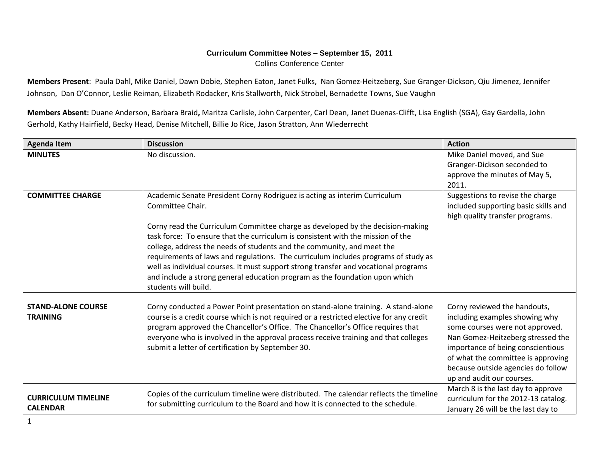## **Curriculum Committee Notes – September 15, 2011** Collins Conference Center

**Members Present**: Paula Dahl, Mike Daniel, Dawn Dobie, Stephen Eaton, Janet Fulks, Nan Gomez-Heitzeberg, Sue Granger-Dickson, Qiu Jimenez, Jennifer Johnson, Dan O'Connor, Leslie Reiman, Elizabeth Rodacker, Kris Stallworth, Nick Strobel, Bernadette Towns, Sue Vaughn

**Members Absent:** Duane Anderson, Barbara Braid**,** Maritza Carlisle, John Carpenter, Carl Dean, Janet Duenas-Clifft, Lisa English (SGA), Gay Gardella, John Gerhold, Kathy Hairfield, Becky Head, Denise Mitchell, Billie Jo Rice, Jason Stratton, Ann Wiederrecht

| <b>Agenda Item</b>                            | <b>Discussion</b>                                                                                                                                                                                                                                                                                                                                                                                                                                                                                                                                                                                                                | <b>Action</b>                                                                                                                                                                                                                                                                        |
|-----------------------------------------------|----------------------------------------------------------------------------------------------------------------------------------------------------------------------------------------------------------------------------------------------------------------------------------------------------------------------------------------------------------------------------------------------------------------------------------------------------------------------------------------------------------------------------------------------------------------------------------------------------------------------------------|--------------------------------------------------------------------------------------------------------------------------------------------------------------------------------------------------------------------------------------------------------------------------------------|
| <b>MINUTES</b>                                | No discussion.                                                                                                                                                                                                                                                                                                                                                                                                                                                                                                                                                                                                                   | Mike Daniel moved, and Sue<br>Granger-Dickson seconded to<br>approve the minutes of May 5,<br>2011.                                                                                                                                                                                  |
| <b>COMMITTEE CHARGE</b>                       | Academic Senate President Corny Rodriguez is acting as interim Curriculum<br>Committee Chair.<br>Corny read the Curriculum Committee charge as developed by the decision-making<br>task force: To ensure that the curriculum is consistent with the mission of the<br>college, address the needs of students and the community, and meet the<br>requirements of laws and regulations. The curriculum includes programs of study as<br>well as individual courses. It must support strong transfer and vocational programs<br>and include a strong general education program as the foundation upon which<br>students will build. | Suggestions to revise the charge<br>included supporting basic skills and<br>high quality transfer programs.                                                                                                                                                                          |
| <b>STAND-ALONE COURSE</b><br><b>TRAINING</b>  | Corny conducted a Power Point presentation on stand-alone training. A stand-alone<br>course is a credit course which is not required or a restricted elective for any credit<br>program approved the Chancellor's Office. The Chancellor's Office requires that<br>everyone who is involved in the approval process receive training and that colleges<br>submit a letter of certification by September 30.                                                                                                                                                                                                                      | Corny reviewed the handouts,<br>including examples showing why<br>some courses were not approved.<br>Nan Gomez-Heitzeberg stressed the<br>importance of being conscientious<br>of what the committee is approving<br>because outside agencies do follow<br>up and audit our courses. |
| <b>CURRICULUM TIMELINE</b><br><b>CALENDAR</b> | Copies of the curriculum timeline were distributed. The calendar reflects the timeline<br>for submitting curriculum to the Board and how it is connected to the schedule.                                                                                                                                                                                                                                                                                                                                                                                                                                                        | March 8 is the last day to approve<br>curriculum for the 2012-13 catalog.<br>January 26 will be the last day to                                                                                                                                                                      |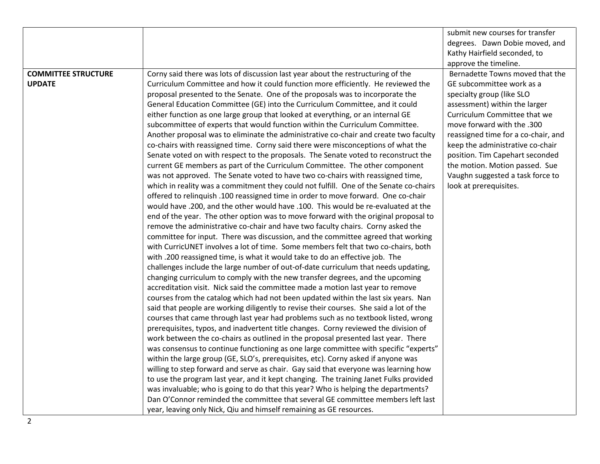|                            |                                                                                        | submit new courses for transfer     |
|----------------------------|----------------------------------------------------------------------------------------|-------------------------------------|
|                            |                                                                                        | degrees. Dawn Dobie moved, and      |
|                            |                                                                                        | Kathy Hairfield seconded, to        |
|                            |                                                                                        | approve the timeline.               |
| <b>COMMITTEE STRUCTURE</b> | Corny said there was lots of discussion last year about the restructuring of the       | Bernadette Towns moved that the     |
| <b>UPDATE</b>              | Curriculum Committee and how it could function more efficiently. He reviewed the       | GE subcommittee work as a           |
|                            | proposal presented to the Senate. One of the proposals was to incorporate the          | specialty group (like SLO           |
|                            | General Education Committee (GE) into the Curriculum Committee, and it could           | assessment) within the larger       |
|                            | either function as one large group that looked at everything, or an internal GE        | Curriculum Committee that we        |
|                            | subcommittee of experts that would function within the Curriculum Committee.           | move forward with the .300          |
|                            | Another proposal was to eliminate the administrative co-chair and create two faculty   | reassigned time for a co-chair, and |
|                            | co-chairs with reassigned time. Corny said there were misconceptions of what the       | keep the administrative co-chair    |
|                            | Senate voted on with respect to the proposals. The Senate voted to reconstruct the     | position. Tim Capehart seconded     |
|                            | current GE members as part of the Curriculum Committee. The other component            | the motion. Motion passed. Sue      |
|                            | was not approved. The Senate voted to have two co-chairs with reassigned time,         | Vaughn suggested a task force to    |
|                            | which in reality was a commitment they could not fulfill. One of the Senate co-chairs  | look at prerequisites.              |
|                            | offered to relinguish .100 reassigned time in order to move forward. One co-chair      |                                     |
|                            | would have .200, and the other would have .100. This would be re-evaluated at the      |                                     |
|                            | end of the year. The other option was to move forward with the original proposal to    |                                     |
|                            | remove the administrative co-chair and have two faculty chairs. Corny asked the        |                                     |
|                            | committee for input. There was discussion, and the committee agreed that working       |                                     |
|                            | with CurricUNET involves a lot of time. Some members felt that two co-chairs, both     |                                     |
|                            | with .200 reassigned time, is what it would take to do an effective job. The           |                                     |
|                            | challenges include the large number of out-of-date curriculum that needs updating,     |                                     |
|                            | changing curriculum to comply with the new transfer degrees, and the upcoming          |                                     |
|                            | accreditation visit. Nick said the committee made a motion last year to remove         |                                     |
|                            | courses from the catalog which had not been updated within the last six years. Nan     |                                     |
|                            | said that people are working diligently to revise their courses. She said a lot of the |                                     |
|                            | courses that came through last year had problems such as no textbook listed, wrong     |                                     |
|                            | prerequisites, typos, and inadvertent title changes. Corny reviewed the division of    |                                     |
|                            | work between the co-chairs as outlined in the proposal presented last year. There      |                                     |
|                            | was consensus to continue functioning as one large committee with specific "experts"   |                                     |
|                            | within the large group (GE, SLO's, prerequisites, etc). Corny asked if anyone was      |                                     |
|                            | willing to step forward and serve as chair. Gay said that everyone was learning how    |                                     |
|                            | to use the program last year, and it kept changing. The training Janet Fulks provided  |                                     |
|                            | was invaluable; who is going to do that this year? Who is helping the departments?     |                                     |
|                            | Dan O'Connor reminded the committee that several GE committee members left last        |                                     |
|                            | year, leaving only Nick, Qiu and himself remaining as GE resources.                    |                                     |